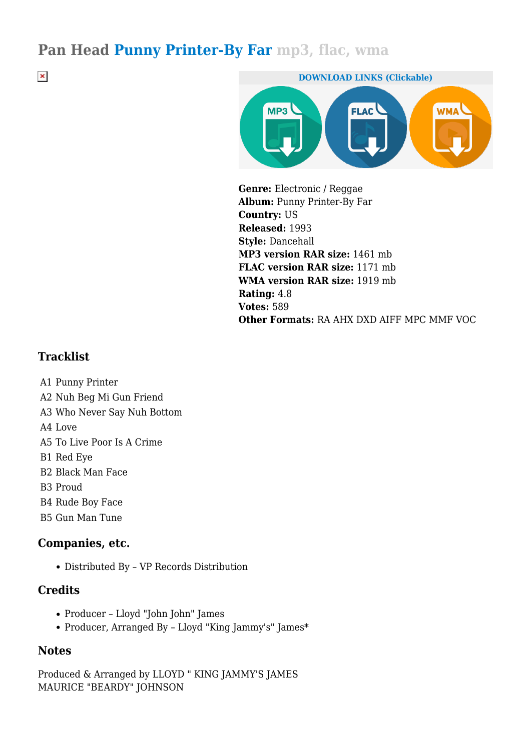### **Pan Head Punny Printer-By Far mp3, flac, wma**

**DOWNLOAD LINKS (Clickable)**  $MP3$ **FLAC WMA\** 

**Genre:** Electronic / Reggae **Album:** Punny Printer-By Far **Country:** US **Released:** 1993 **Style:** Dancehall **MP3 version RAR size:** 1461 mb **FLAC version RAR size:** 1171 mb **WMA version RAR size:** 1919 mb **Rating:** 4.8 **Votes:** 589 **Other Formats:** RA AHX DXD AIFF MPC MMF VOC

#### **Tracklist**

 $\pmb{\times}$ 

- A1 Punny Printer
- A2 Nuh Beg Mi Gun Friend
- A3 Who Never Say Nuh Bottom
- A4 Love
- A5 To Live Poor Is A Crime
- B1 Red Eye
- B2 Black Man Face
- B3 Proud
- B4 Rude Boy Face
- B5 Gun Man Tune

#### **Companies, etc.**

Distributed By – VP Records Distribution

#### **Credits**

- Producer Lloyd "John John" James
- Producer, Arranged By Lloyd "King Jammy's" James\*

#### **Notes**

Produced & Arranged by LLOYD " KING JAMMY'S JAMES MAURICE "BEARDY" JOHNSON